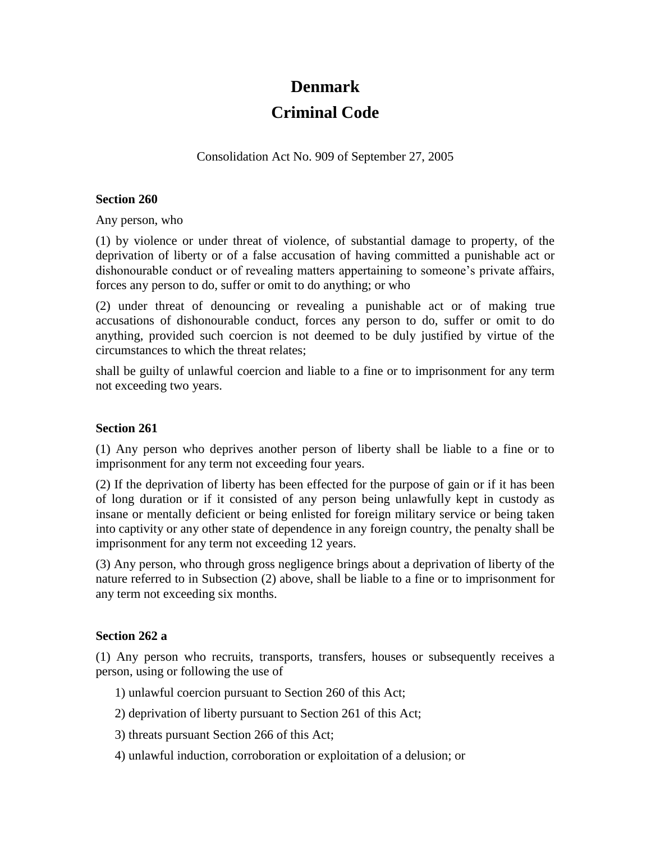# **Denmark Criminal Code**

Consolidation Act No. 909 of September 27, 2005

### **Section 260**

Any person, who

(1) by violence or under threat of violence, of substantial damage to property, of the deprivation of liberty or of a false accusation of having committed a punishable act or dishonourable conduct or of revealing matters appertaining to someone's private affairs, forces any person to do, suffer or omit to do anything; or who

(2) under threat of denouncing or revealing a punishable act or of making true accusations of dishonourable conduct, forces any person to do, suffer or omit to do anything, provided such coercion is not deemed to be duly justified by virtue of the circumstances to which the threat relates;

shall be guilty of unlawful coercion and liable to a fine or to imprisonment for any term not exceeding two years.

### **Section 261**

(1) Any person who deprives another person of liberty shall be liable to a fine or to imprisonment for any term not exceeding four years.

(2) If the deprivation of liberty has been effected for the purpose of gain or if it has been of long duration or if it consisted of any person being unlawfully kept in custody as insane or mentally deficient or being enlisted for foreign military service or being taken into captivity or any other state of dependence in any foreign country, the penalty shall be imprisonment for any term not exceeding 12 years.

(3) Any person, who through gross negligence brings about a deprivation of liberty of the nature referred to in Subsection (2) above, shall be liable to a fine or to imprisonment for any term not exceeding six months.

### **Section 262 a**

(1) Any person who recruits, transports, transfers, houses or subsequently receives a person, using or following the use of

- 1) unlawful coercion pursuant to Section 260 of this Act;
- 2) deprivation of liberty pursuant to Section 261 of this Act;
- 3) threats pursuant Section 266 of this Act;
- 4) unlawful induction, corroboration or exploitation of a delusion; or